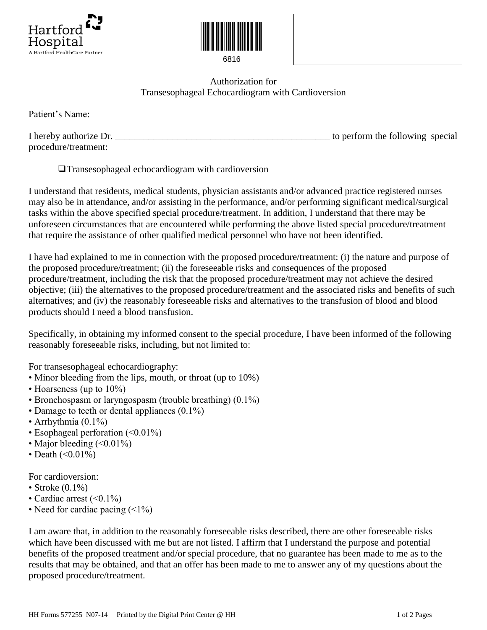



6816

## Authorization for Transesophageal Echocardiogram with Cardioversion

Patient's Name:

I hereby authorize Dr. \_\_\_\_\_\_\_\_\_\_\_\_\_\_\_\_\_\_\_\_\_\_\_\_\_\_\_\_\_\_\_\_\_\_\_\_\_\_\_\_\_\_\_\_\_ to perform the following special procedure/treatment:

❑ Transesophageal echocardiogram with cardioversion

I understand that residents, medical students, physician assistants and/or advanced practice registered nurses may also be in attendance, and/or assisting in the performance, and/or performing significant medical/surgical tasks within the above specified special procedure/treatment. In addition, I understand that there may be unforeseen circumstances that are encountered while performing the above listed special procedure/treatment that require the assistance of other qualified medical personnel who have not been identified.

I have had explained to me in connection with the proposed procedure/treatment: (i) the nature and purpose of the proposed procedure/treatment; (ii) the foreseeable risks and consequences of the proposed procedure/treatment, including the risk that the proposed procedure/treatment may not achieve the desired objective; (iii) the alternatives to the proposed procedure/treatment and the associated risks and benefits of such alternatives; and (iv) the reasonably foreseeable risks and alternatives to the transfusion of blood and blood products should I need a blood transfusion.

Specifically, in obtaining my informed consent to the special procedure, I have been informed of the following reasonably foreseeable risks, including, but not limited to:

For transesophageal echocardiography:

- Minor bleeding from the lips, mouth, or throat (up to 10%)
- Hoarseness (up to 10%)
- Bronchospasm or laryngospasm (trouble breathing) (0.1%)
- Damage to teeth or dental appliances  $(0.1\%)$
- Arrhythmia (0.1%)
- Esophageal perforation (<0.01%)
- Major bleeding  $(<0.01\%)$
- Death  $(<0.01\%)$

For cardioversion:

- Stroke  $(0.1\%)$
- Cardiac arrest  $(<0.1\%)$
- Need for cardiac pacing  $($

I am aware that, in addition to the reasonably foreseeable risks described, there are other foreseeable risks which have been discussed with me but are not listed. I affirm that I understand the purpose and potential benefits of the proposed treatment and/or special procedure, that no guarantee has been made to me as to the results that may be obtained, and that an offer has been made to me to answer any of my questions about the proposed procedure/treatment.